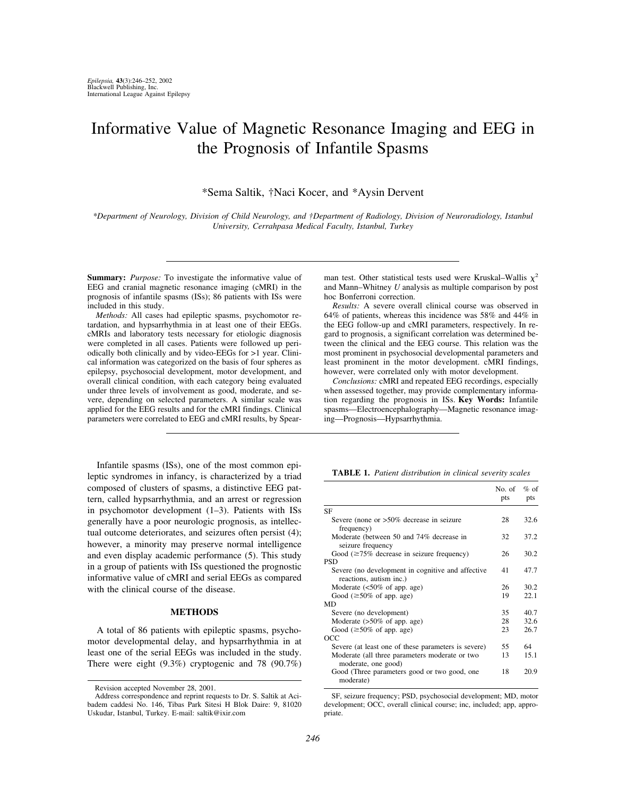# Informative Value of Magnetic Resonance Imaging and EEG in the Prognosis of Infantile Spasms

\*Sema Saltik, †Naci Kocer, and \*Aysin Dervent

*\*Department of Neurology, Division of Child Neurology, and †Department of Radiology, Division of Neuroradiology, Istanbul University, Cerrahpasa Medical Faculty, Istanbul, Turkey*

**Summary:** *Purpose:* To investigate the informative value of EEG and cranial magnetic resonance imaging (cMRI) in the prognosis of infantile spasms (ISs); 86 patients with ISs were included in this study.

*Methods:* All cases had epileptic spasms, psychomotor retardation, and hypsarrhythmia in at least one of their EEGs. cMRIs and laboratory tests necessary for etiologic diagnosis were completed in all cases. Patients were followed up periodically both clinically and by video-EEGs for >1 year. Clinical information was categorized on the basis of four spheres as epilepsy, psychosocial development, motor development, and overall clinical condition, with each category being evaluated under three levels of involvement as good, moderate, and severe, depending on selected parameters. A similar scale was applied for the EEG results and for the cMRI findings. Clinical parameters were correlated to EEG and cMRI results, by Spear-

Infantile spasms (ISs), one of the most common epileptic syndromes in infancy, is characterized by a triad composed of clusters of spasms, a distinctive EEG pattern, called hypsarrhythmia, and an arrest or regression in psychomotor development (1–3). Patients with ISs generally have a poor neurologic prognosis, as intellectual outcome deteriorates, and seizures often persist (4); however, a minority may preserve normal intelligence and even display academic performance (5). This study in a group of patients with ISs questioned the prognostic informative value of cMRI and serial EEGs as compared with the clinical course of the disease.

## **METHODS**

A total of 86 patients with epileptic spasms, psychomotor developmental delay, and hypsarrhythmia in at least one of the serial EEGs was included in the study. There were eight (9.3%) cryptogenic and 78 (90.7%)

man test. Other statistical tests used were Kruskal–Wallis  $\chi^2$ and Mann–Whitney *U* analysis as multiple comparison by post hoc Bonferroni correction.

*Results:* A severe overall clinical course was observed in 64% of patients, whereas this incidence was 58% and 44% in the EEG follow-up and cMRI parameters, respectively. In regard to prognosis, a significant correlation was determined between the clinical and the EEG course. This relation was the most prominent in psychosocial developmental parameters and least prominent in the motor development. cMRI findings, however, were correlated only with motor development.

*Conclusions:* cMRI and repeated EEG recordings, especially when assessed together, may provide complementary information regarding the prognosis in ISs. **Key Words:** Infantile spasms—Electroencephalography—Magnetic resonance imaging—Prognosis—Hypsarrhythmia.

**TABLE 1.** *Patient distribution in clinical severity scales*

|                                                                              | No. of<br>pts | $%$ of<br>pts |
|------------------------------------------------------------------------------|---------------|---------------|
| <b>SF</b>                                                                    |               |               |
| Severe (none or $>50\%$ decrease in seizure<br>frequency)                    | 28            | 32.6          |
| Moderate (between 50 and 74% decrease in<br>seizure frequency                | 32            | 37.2          |
| Good $(\geq 75\%$ decrease in seizure frequency)                             | 26            | 30.2          |
| <b>PSD</b>                                                                   |               |               |
| Severe (no development in cognitive and affective<br>reactions, autism inc.) | 41            | 47.7          |
| Moderate $\left( < 50\% \text{ of } app. \text{ age} \right)$                | 26            | 30.2          |
| Good ( $\geq 50\%$ of app. age)                                              | 19            | 22.1          |
| MD                                                                           |               |               |
| Severe (no development)                                                      | 35            | 40.7          |
| Moderate $(>50\%$ of app. age)                                               | 28            | 32.6          |
| Good ( $\geq 50\%$ of app. age)                                              | 23            | 26.7          |
| OCC                                                                          |               |               |
| Severe (at least one of these parameters is severe)                          | 55            | 64            |
| Moderate (all three parameters moderate or two<br>moderate, one good)        | 13            | 15.1          |
| Good (Three parameters good or two good, one<br>moderate)                    | 18            | 20.9          |

SF, seizure frequency; PSD, psychosocial development; MD, motor development; OCC, overall clinical course; inc, included; app, appropriate.

Revision accepted November 28, 2001.

Address correspondence and reprint requests to Dr. S. Saltik at Acibadem caddesi No. 146, Tibas Park Sitesi H Blok Daire: 9, 81020 Uskudar, Istanbul, Turkey. E-mail: saltik@ixir.com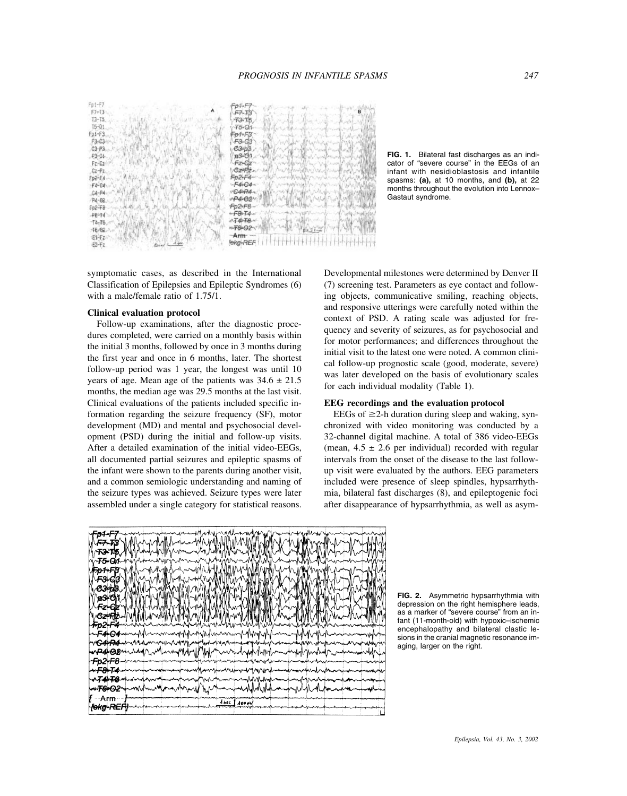

symptomatic cases, as described in the International Classification of Epilepsies and Epileptic Syndromes (6) with a male/female ratio of 1.75/1.

#### **Clinical evaluation protocol**

Follow-up examinations, after the diagnostic procedures completed, were carried on a monthly basis within the initial 3 months, followed by once in 3 months during the first year and once in 6 months, later. The shortest follow-up period was 1 year, the longest was until 10 years of age. Mean age of the patients was  $34.6 \pm 21.5$ months, the median age was 29.5 months at the last visit. Clinical evaluations of the patients included specific information regarding the seizure frequency (SF), motor development (MD) and mental and psychosocial development (PSD) during the initial and follow-up visits. After a detailed examination of the initial video-EEGs, all documented partial seizures and epileptic spasms of the infant were shown to the parents during another visit, and a common semiologic understanding and naming of the seizure types was achieved. Seizure types were later assembled under a single category for statistical reasons.

**FIG. 1.** Bilateral fast discharges as an indicator of "severe course" in the EEGs of an infant with nesidioblastosis and infantile spasms: **(a),** at 10 months, and **(b),** at 22 months throughout the evolution into Lennox– Gastaut syndrome.

Developmental milestones were determined by Denver II (7) screening test. Parameters as eye contact and following objects, communicative smiling, reaching objects, and responsive utterings were carefully noted within the context of PSD. A rating scale was adjusted for frequency and severity of seizures, as for psychosocial and for motor performances; and differences throughout the initial visit to the latest one were noted. A common clinical follow-up prognostic scale (good, moderate, severe) was later developed on the basis of evolutionary scales for each individual modality (Table 1).

# **EEG recordings and the evaluation protocol**

EEGs of  $\geq$ 2-h duration during sleep and waking, synchronized with video monitoring was conducted by a 32-channel digital machine. A total of 386 video-EEGs (mean,  $4.5 \pm 2.6$  per individual) recorded with regular intervals from the onset of the disease to the last followup visit were evaluated by the authors. EEG parameters included were presence of sleep spindles, hypsarrhythmia, bilateral fast discharges (8), and epileptogenic foci after disappearance of hypsarrhythmia, as well as asym-



**FIG. 2.** Asymmetric hypsarrhythmia with depression on the right hemisphere leads, as a marker of "severe course" from an infant (11-month-old) with hypoxic–ischemic encephalopathy and bilateral clastic lesions in the cranial magnetic resonance imaging, larger on the right.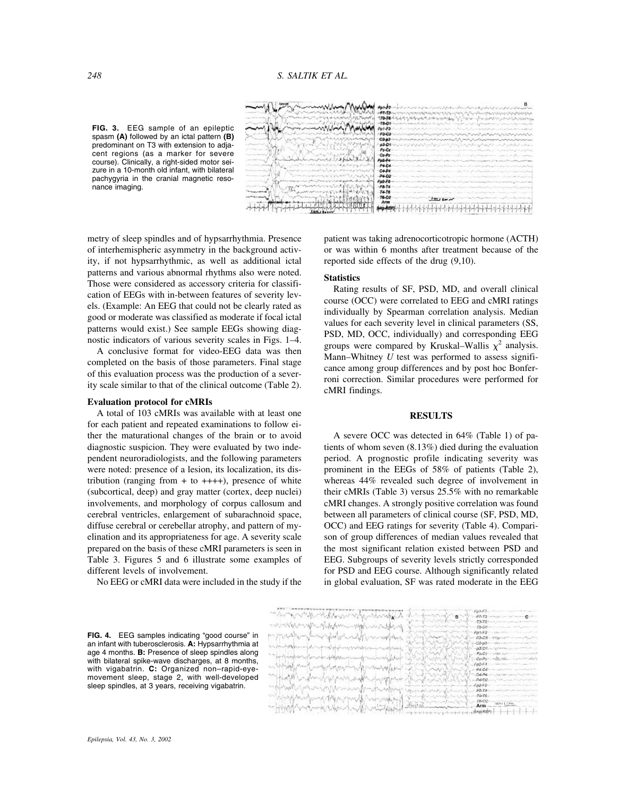**FIG. 3.** EEG sample of an epileptic spasm **(A)** followed by an ictal pattern **(B)** predominant on T3 with extension to adjacent regions (as a marker for severe course). Clinically, a right-sided motor seizure in a 10-month old infant, with bilateral pachygyria in the cranial magnetic resonance imaging.



metry of sleep spindles and of hypsarrhythmia. Presence of interhemispheric asymmetry in the background activity, if not hypsarrhythmic, as well as additional ictal patterns and various abnormal rhythms also were noted. Those were considered as accessory criteria for classification of EEGs with in-between features of severity levels. (Example: An EEG that could not be clearly rated as good or moderate was classified as moderate if focal ictal patterns would exist.) See sample EEGs showing diagnostic indicators of various severity scales in Figs. 1–4.

A conclusive format for video-EEG data was then completed on the basis of those parameters. Final stage of this evaluation process was the production of a severity scale similar to that of the clinical outcome (Table 2).

#### **Evaluation protocol for cMRIs**

A total of 103 cMRIs was available with at least one for each patient and repeated examinations to follow either the maturational changes of the brain or to avoid diagnostic suspicion. They were evaluated by two independent neuroradiologists, and the following parameters were noted: presence of a lesion, its localization, its distribution (ranging from  $+$  to  $+++$ ), presence of white (subcortical, deep) and gray matter (cortex, deep nuclei) involvements, and morphology of corpus callosum and cerebral ventricles, enlargement of subarachnoid space, diffuse cerebral or cerebellar atrophy, and pattern of myelination and its appropriateness for age. A severity scale prepared on the basis of these cMRI parameters is seen in Table 3. Figures 5 and 6 illustrate some examples of different levels of involvement.

No EEG or cMRI data were included in the study if the

patient was taking adrenocorticotropic hormone (ACTH) or was within 6 months after treatment because of the reported side effects of the drug (9,10).

#### **Statistics**

Rating results of SF, PSD, MD, and overall clinical course (OCC) were correlated to EEG and cMRI ratings individually by Spearman correlation analysis. Median values for each severity level in clinical parameters (SS, PSD, MD, OCC, individually) and corresponding EEG groups were compared by Kruskal–Wallis  $\chi^2$  analysis. Mann–Whitney *U* test was performed to assess significance among group differences and by post hoc Bonferroni correction. Similar procedures were performed for cMRI findings.

# **RESULTS**

A severe OCC was detected in 64% (Table 1) of patients of whom seven (8.13%) died during the evaluation period. A prognostic profile indicating severity was prominent in the EEGs of 58% of patients (Table 2), whereas 44% revealed such degree of involvement in their cMRIs (Table 3) versus 25.5% with no remarkable cMRI changes. A strongly positive correlation was found between all parameters of clinical course (SF, PSD, MD, OCC) and EEG ratings for severity (Table 4). Comparison of group differences of median values revealed that the most significant relation existed between PSD and EEG. Subgroups of severity levels strictly corresponded for PSD and EEG course. Although significantly related in global evaluation, SF was rated moderate in the EEG

| <b>FIG. 4.</b> EEG samples indicating "good course" in   |
|----------------------------------------------------------|
| an infant with tuberosclerosis. A: Hypsarrhythmia at     |
| age 4 months. <b>B:</b> Presence of sleep spindles along |
| with bilateral spike-wave discharges, at 8 months,       |
| with vigabatrin. <b>C:</b> Organized non-rapid-eye-      |
| movement sleep, stage 2, with well-developed             |
| sleep spindles, at 3 years, receiving vigabatrin.        |

| with a more and complete the state<br>And a straight of the company of the state<br><b>すいし ホールークリウィンキアウェロ</b> ー<br>FMB - with a strong Com-<br>しゅうしゅうしゅう しゅうしゅう<br>1-73-75 from the company when the<br>antimos por your space of the form in paper into the life and<br>and the contract of the contract of the contract of the contract of the contract of the contract of the contract of the contract of the contract of the contract of the contract of the contract of the contract of the contra<br>$-75.01$<br>-paraphymental power<br>the Schripping to revisible the relationship of the complete and<br>المحاكما والمستعمر المحاكمات<br>F3-D3- Majority of the common the Child<br>リョーショール ウィンド・ファー しゅうせいしょう<br>1-63-p3- - steerdoor - articles mat<br>and with the world way of the control of the world of the control of the control of the control of the control of the control of the control of the control of the control of the control of the control of the control of the<br>Windows Mary<br>-p3.Dlive Wallace Julian Children<br>IM MANI<br>-FI-02 - Was a communicated<br>1. 14 for the material are a formation of the company of the second plat of the<br>- Or-Pa--- Matthew - Committee which<br>which and the completion of the formation of the completion of the completion of the completion of the completion of the completion of the completion of the completion of the completion of the completion of the completion<br>with the self of the way of the party of the control of the way of the way<br>A Book Charles And A Land A PC-CARA continuous contractor of<br>magging Many magazing particularly<br>バグット きょうこう ダンド・レッタ<br><b>John Company of the same of the first state</b><br>windown many many many property<br>Anderson and Company the State<br>FBI deal and personal and company<br>Warren Warter Harry<br>windowship with my paper power the morning of<br>THE CONTRACTOR<br>home for sympatrician<br>Arm and the contract of the Communication<br>mining the street which the state of the state of<br>Army Arm - |                                  |
|--------------------------------------------------------------------------------------------------------------------------------------------------------------------------------------------------------------------------------------------------------------------------------------------------------------------------------------------------------------------------------------------------------------------------------------------------------------------------------------------------------------------------------------------------------------------------------------------------------------------------------------------------------------------------------------------------------------------------------------------------------------------------------------------------------------------------------------------------------------------------------------------------------------------------------------------------------------------------------------------------------------------------------------------------------------------------------------------------------------------------------------------------------------------------------------------------------------------------------------------------------------------------------------------------------------------------------------------------------------------------------------------------------------------------------------------------------------------------------------------------------------------------------------------------------------------------------------------------------------------------------------------------------------------------------------------------------------------------------------------------------------------------------------------------------------------------------------------------------------------------------------------------------------------------------------------------------------------------------------------------------------------------------------------------------------------------|----------------------------------|
|                                                                                                                                                                                                                                                                                                                                                                                                                                                                                                                                                                                                                                                                                                                                                                                                                                                                                                                                                                                                                                                                                                                                                                                                                                                                                                                                                                                                                                                                                                                                                                                                                                                                                                                                                                                                                                                                                                                                                                                                                                                                          |                                  |
|                                                                                                                                                                                                                                                                                                                                                                                                                                                                                                                                                                                                                                                                                                                                                                                                                                                                                                                                                                                                                                                                                                                                                                                                                                                                                                                                                                                                                                                                                                                                                                                                                                                                                                                                                                                                                                                                                                                                                                                                                                                                          |                                  |
|                                                                                                                                                                                                                                                                                                                                                                                                                                                                                                                                                                                                                                                                                                                                                                                                                                                                                                                                                                                                                                                                                                                                                                                                                                                                                                                                                                                                                                                                                                                                                                                                                                                                                                                                                                                                                                                                                                                                                                                                                                                                          |                                  |
|                                                                                                                                                                                                                                                                                                                                                                                                                                                                                                                                                                                                                                                                                                                                                                                                                                                                                                                                                                                                                                                                                                                                                                                                                                                                                                                                                                                                                                                                                                                                                                                                                                                                                                                                                                                                                                                                                                                                                                                                                                                                          |                                  |
|                                                                                                                                                                                                                                                                                                                                                                                                                                                                                                                                                                                                                                                                                                                                                                                                                                                                                                                                                                                                                                                                                                                                                                                                                                                                                                                                                                                                                                                                                                                                                                                                                                                                                                                                                                                                                                                                                                                                                                                                                                                                          |                                  |
|                                                                                                                                                                                                                                                                                                                                                                                                                                                                                                                                                                                                                                                                                                                                                                                                                                                                                                                                                                                                                                                                                                                                                                                                                                                                                                                                                                                                                                                                                                                                                                                                                                                                                                                                                                                                                                                                                                                                                                                                                                                                          |                                  |
|                                                                                                                                                                                                                                                                                                                                                                                                                                                                                                                                                                                                                                                                                                                                                                                                                                                                                                                                                                                                                                                                                                                                                                                                                                                                                                                                                                                                                                                                                                                                                                                                                                                                                                                                                                                                                                                                                                                                                                                                                                                                          |                                  |
|                                                                                                                                                                                                                                                                                                                                                                                                                                                                                                                                                                                                                                                                                                                                                                                                                                                                                                                                                                                                                                                                                                                                                                                                                                                                                                                                                                                                                                                                                                                                                                                                                                                                                                                                                                                                                                                                                                                                                                                                                                                                          |                                  |
|                                                                                                                                                                                                                                                                                                                                                                                                                                                                                                                                                                                                                                                                                                                                                                                                                                                                                                                                                                                                                                                                                                                                                                                                                                                                                                                                                                                                                                                                                                                                                                                                                                                                                                                                                                                                                                                                                                                                                                                                                                                                          |                                  |
|                                                                                                                                                                                                                                                                                                                                                                                                                                                                                                                                                                                                                                                                                                                                                                                                                                                                                                                                                                                                                                                                                                                                                                                                                                                                                                                                                                                                                                                                                                                                                                                                                                                                                                                                                                                                                                                                                                                                                                                                                                                                          |                                  |
|                                                                                                                                                                                                                                                                                                                                                                                                                                                                                                                                                                                                                                                                                                                                                                                                                                                                                                                                                                                                                                                                                                                                                                                                                                                                                                                                                                                                                                                                                                                                                                                                                                                                                                                                                                                                                                                                                                                                                                                                                                                                          |                                  |
|                                                                                                                                                                                                                                                                                                                                                                                                                                                                                                                                                                                                                                                                                                                                                                                                                                                                                                                                                                                                                                                                                                                                                                                                                                                                                                                                                                                                                                                                                                                                                                                                                                                                                                                                                                                                                                                                                                                                                                                                                                                                          |                                  |
|                                                                                                                                                                                                                                                                                                                                                                                                                                                                                                                                                                                                                                                                                                                                                                                                                                                                                                                                                                                                                                                                                                                                                                                                                                                                                                                                                                                                                                                                                                                                                                                                                                                                                                                                                                                                                                                                                                                                                                                                                                                                          |                                  |
|                                                                                                                                                                                                                                                                                                                                                                                                                                                                                                                                                                                                                                                                                                                                                                                                                                                                                                                                                                                                                                                                                                                                                                                                                                                                                                                                                                                                                                                                                                                                                                                                                                                                                                                                                                                                                                                                                                                                                                                                                                                                          |                                  |
|                                                                                                                                                                                                                                                                                                                                                                                                                                                                                                                                                                                                                                                                                                                                                                                                                                                                                                                                                                                                                                                                                                                                                                                                                                                                                                                                                                                                                                                                                                                                                                                                                                                                                                                                                                                                                                                                                                                                                                                                                                                                          |                                  |
|                                                                                                                                                                                                                                                                                                                                                                                                                                                                                                                                                                                                                                                                                                                                                                                                                                                                                                                                                                                                                                                                                                                                                                                                                                                                                                                                                                                                                                                                                                                                                                                                                                                                                                                                                                                                                                                                                                                                                                                                                                                                          |                                  |
|                                                                                                                                                                                                                                                                                                                                                                                                                                                                                                                                                                                                                                                                                                                                                                                                                                                                                                                                                                                                                                                                                                                                                                                                                                                                                                                                                                                                                                                                                                                                                                                                                                                                                                                                                                                                                                                                                                                                                                                                                                                                          |                                  |
|                                                                                                                                                                                                                                                                                                                                                                                                                                                                                                                                                                                                                                                                                                                                                                                                                                                                                                                                                                                                                                                                                                                                                                                                                                                                                                                                                                                                                                                                                                                                                                                                                                                                                                                                                                                                                                                                                                                                                                                                                                                                          |                                  |
|                                                                                                                                                                                                                                                                                                                                                                                                                                                                                                                                                                                                                                                                                                                                                                                                                                                                                                                                                                                                                                                                                                                                                                                                                                                                                                                                                                                                                                                                                                                                                                                                                                                                                                                                                                                                                                                                                                                                                                                                                                                                          |                                  |
|                                                                                                                                                                                                                                                                                                                                                                                                                                                                                                                                                                                                                                                                                                                                                                                                                                                                                                                                                                                                                                                                                                                                                                                                                                                                                                                                                                                                                                                                                                                                                                                                                                                                                                                                                                                                                                                                                                                                                                                                                                                                          |                                  |
|                                                                                                                                                                                                                                                                                                                                                                                                                                                                                                                                                                                                                                                                                                                                                                                                                                                                                                                                                                                                                                                                                                                                                                                                                                                                                                                                                                                                                                                                                                                                                                                                                                                                                                                                                                                                                                                                                                                                                                                                                                                                          |                                  |
|                                                                                                                                                                                                                                                                                                                                                                                                                                                                                                                                                                                                                                                                                                                                                                                                                                                                                                                                                                                                                                                                                                                                                                                                                                                                                                                                                                                                                                                                                                                                                                                                                                                                                                                                                                                                                                                                                                                                                                                                                                                                          |                                  |
|                                                                                                                                                                                                                                                                                                                                                                                                                                                                                                                                                                                                                                                                                                                                                                                                                                                                                                                                                                                                                                                                                                                                                                                                                                                                                                                                                                                                                                                                                                                                                                                                                                                                                                                                                                                                                                                                                                                                                                                                                                                                          |                                  |
|                                                                                                                                                                                                                                                                                                                                                                                                                                                                                                                                                                                                                                                                                                                                                                                                                                                                                                                                                                                                                                                                                                                                                                                                                                                                                                                                                                                                                                                                                                                                                                                                                                                                                                                                                                                                                                                                                                                                                                                                                                                                          |                                  |
|                                                                                                                                                                                                                                                                                                                                                                                                                                                                                                                                                                                                                                                                                                                                                                                                                                                                                                                                                                                                                                                                                                                                                                                                                                                                                                                                                                                                                                                                                                                                                                                                                                                                                                                                                                                                                                                                                                                                                                                                                                                                          |                                  |
|                                                                                                                                                                                                                                                                                                                                                                                                                                                                                                                                                                                                                                                                                                                                                                                                                                                                                                                                                                                                                                                                                                                                                                                                                                                                                                                                                                                                                                                                                                                                                                                                                                                                                                                                                                                                                                                                                                                                                                                                                                                                          |                                  |
|                                                                                                                                                                                                                                                                                                                                                                                                                                                                                                                                                                                                                                                                                                                                                                                                                                                                                                                                                                                                                                                                                                                                                                                                                                                                                                                                                                                                                                                                                                                                                                                                                                                                                                                                                                                                                                                                                                                                                                                                                                                                          | ******************************** |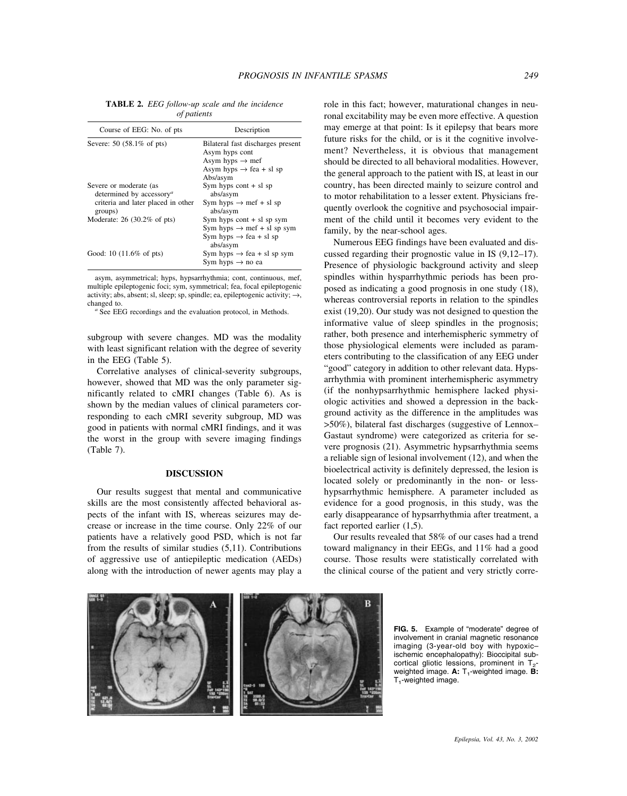**TABLE 2.** *EEG follow-up scale and the incidence of patients*

| Course of EEG: No. of pts                                                                                              | Description                                                                                                                           |
|------------------------------------------------------------------------------------------------------------------------|---------------------------------------------------------------------------------------------------------------------------------------|
| Severe: 50 (58.1% of pts)                                                                                              | Bilateral fast discharges present<br>Asym hyps cont<br>Asym hyps $\rightarrow$ mef<br>Asym hyps $\rightarrow$ fea + sl sp<br>Abs/asym |
| Severe or moderate (as<br>determined by accessory <sup><i>a</i></sup><br>criteria and later placed in other<br>groups) | Sym hyps cont $+$ sl sp<br>abs/asym<br>Sym hyps $\rightarrow$ mef + sl sp<br>abs/asym                                                 |
| Moderate: $26$ (30.2% of pts)                                                                                          | Sym hyps $\text{cont} + \text{sl}$ sp sym<br>Sym hyps $\rightarrow$ mef + sl sp sym<br>Sym hyps $\rightarrow$ fea + sl sp<br>abs/asym |
| Good: 10 $(11.6\% \text{ of pts})$                                                                                     | Sym hyps $\rightarrow$ fea + sl sp sym<br>Sym hyps $\rightarrow$ no ea                                                                |

asym, asymmetrical; hyps, hypsarrhythmia; cont, continuous, mef, multiple epileptogenic foci; sym, symmetrical; fea, focal epileptogenic activity; abs, absent; sl, sleep; sp, spindle; ea, epileptogenic activity;  $\rightarrow$ , changed to.<br><sup>*a*</sup> See EEG recordings and the evaluation protocol, in Methods.

subgroup with severe changes. MD was the modality with least significant relation with the degree of severity in the EEG (Table 5).

Correlative analyses of clinical-severity subgroups, however, showed that MD was the only parameter significantly related to cMRI changes (Table 6). As is shown by the median values of clinical parameters corresponding to each cMRI severity subgroup, MD was good in patients with normal cMRI findings, and it was the worst in the group with severe imaging findings (Table 7).

## **DISCUSSION**

Our results suggest that mental and communicative skills are the most consistently affected behavioral aspects of the infant with IS, whereas seizures may decrease or increase in the time course. Only 22% of our patients have a relatively good PSD, which is not far from the results of similar studies (5,11). Contributions of aggressive use of antiepileptic medication (AEDs) along with the introduction of newer agents may play a role in this fact; however, maturational changes in neuronal excitability may be even more effective. A question may emerge at that point: Is it epilepsy that bears more future risks for the child, or is it the cognitive involvement? Nevertheless, it is obvious that management should be directed to all behavioral modalities. However, the general approach to the patient with IS, at least in our country, has been directed mainly to seizure control and to motor rehabilitation to a lesser extent. Physicians frequently overlook the cognitive and psychosocial impairment of the child until it becomes very evident to the family, by the near-school ages.

Numerous EEG findings have been evaluated and discussed regarding their prognostic value in IS (9,12–17). Presence of physiologic background activity and sleep spindles within hysparrhythmic periods has been proposed as indicating a good prognosis in one study (18), whereas controversial reports in relation to the spindles exist (19,20). Our study was not designed to question the informative value of sleep spindles in the prognosis; rather, both presence and interhemispheric symmetry of those physiological elements were included as parameters contributing to the classification of any EEG under "good" category in addition to other relevant data. Hypsarrhythmia with prominent interhemispheric asymmetry (if the nonhypsarrhythmic hemisphere lacked physiologic activities and showed a depression in the background activity as the difference in the amplitudes was >50%), bilateral fast discharges (suggestive of Lennox– Gastaut syndrome) were categorized as criteria for severe prognosis (21). Asymmetric hypsarrhythmia seems a reliable sign of lesional involvement (12), and when the bioelectrical activity is definitely depressed, the lesion is located solely or predominantly in the non- or lesshypsarrhythmic hemisphere. A parameter included as evidence for a good prognosis, in this study, was the early disappearance of hypsarrhythmia after treatment, a fact reported earlier (1,5).

Our results revealed that 58% of our cases had a trend toward malignancy in their EEGs, and 11% had a good course. Those results were statistically correlated with the clinical course of the patient and very strictly corre-



**FIG. 5.** Example of "moderate" degree of involvement in cranial magnetic resonance imaging (3-year-old boy with hypoxic– ischemic encephalopathy): Bioccipital subcortical gliotic lessions, prominent in  $T_2$ weighted image. **A:** T<sub>1</sub>-weighted image. **B:** T<sub>1</sub>-weighted image.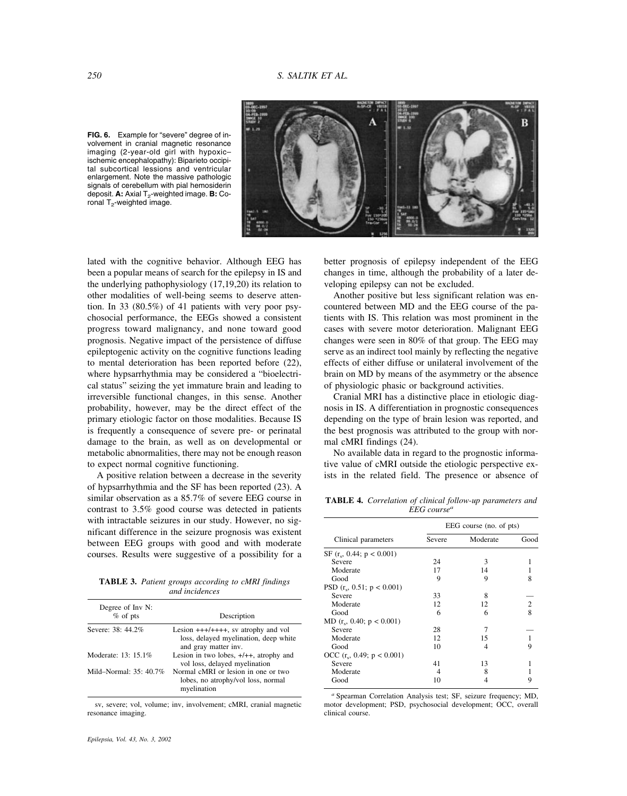**FIG. 6.** Example for "severe" degree of involvement in cranial magnetic resonance imaging (2-year-old girl with hypoxic– ischemic encephalopathy): Biparieto occipital subcortical lessions and ventricular enlargement. Note the massive pathologic signals of cerebellum with pial hemosiderin deposit. **A:** Axial T<sub>2</sub>-weighted image. **B:** Coronal  $T<sub>2</sub>$ -weighted image.



lated with the cognitive behavior. Although EEG has been a popular means of search for the epilepsy in IS and the underlying pathophysiology (17,19,20) its relation to other modalities of well-being seems to deserve attention. In 33 (80.5%) of 41 patients with very poor psychosocial performance, the EEGs showed a consistent progress toward malignancy, and none toward good prognosis. Negative impact of the persistence of diffuse epileptogenic activity on the cognitive functions leading to mental deterioration has been reported before (22), where hypsarrhythmia may be considered a "bioelectrical status" seizing the yet immature brain and leading to irreversible functional changes, in this sense. Another probability, however, may be the direct effect of the primary etiologic factor on those modalities. Because IS is frequently a consequence of severe pre- or perinatal damage to the brain, as well as on developmental or metabolic abnormalities, there may not be enough reason to expect normal cognitive functioning.

A positive relation between a decrease in the severity of hypsarrhythmia and the SF has been reported (23). A similar observation as a 85.7% of severe EEG course in contrast to 3.5% good course was detected in patients with intractable seizures in our study. However, no significant difference in the seizure prognosis was existent between EEG groups with good and with moderate courses. Results were suggestive of a possibility for a

**TABLE 3.** *Patient groups according to cMRI findings and incidences*

| Degree of Inv N:<br>$%$ of pts | Description                                                                                           |
|--------------------------------|-------------------------------------------------------------------------------------------------------|
| Severe: 38: 44.2%              | Lesion $++++++$ , sv atrophy and vol<br>loss, delayed myelination, deep white<br>and gray matter inv. |
| Moderate: 13: 15.1%            | Lesion in two lobes, $+/++$ , atrophy and<br>vol loss, delayed myelination                            |
| Mild-Normal: $35:40.7\%$       | Normal cMRI or lesion in one or two<br>lobes, no atrophy/vol loss, normal<br>myelination              |

sv, severe; vol, volume; inv, involvement; cMRI, cranial magnetic resonance imaging.

better prognosis of epilepsy independent of the EEG changes in time, although the probability of a later developing epilepsy can not be excluded.

Another positive but less significant relation was encountered between MD and the EEG course of the patients with IS. This relation was most prominent in the cases with severe motor deterioration. Malignant EEG changes were seen in 80% of that group. The EEG may serve as an indirect tool mainly by reflecting the negative effects of either diffuse or unilateral involvement of the brain on MD by means of the asymmetry or the absence of physiologic phasic or background activities.

Cranial MRI has a distinctive place in etiologic diagnosis in IS. A differentiation in prognostic consequences depending on the type of brain lesion was reported, and the best prognosis was attributed to the group with normal cMRI findings (24).

No available data in regard to the prognostic informative value of cMRI outside the etiologic perspective exists in the related field. The presence or absence of

**TABLE 4.** *Correlation of clinical follow-up parameters and EEG coursea*

|                              | EEG course (no. of pts) |          |      |
|------------------------------|-------------------------|----------|------|
| Clinical parameters          | Severe                  | Moderate | Good |
| SF $(r_s, 0.44; p < 0.001)$  |                         |          |      |
| Severe                       | 24                      | 3        |      |
| Moderate                     | 17                      | 14       |      |
| Good                         | 9                       | 9        | 8    |
| PSD $(r_s, 0.51; p < 0.001)$ |                         |          |      |
| Severe                       | 33                      | 8        |      |
| Moderate                     | 12                      | 12       | 2    |
| Good                         | 6                       | 6        | 8    |
| MD $(r_s, 0.40; p < 0.001)$  |                         |          |      |
| Severe                       | 28                      |          |      |
| Moderate                     | 12                      | 15       |      |
| Good                         | 10                      | 4        |      |
| OCC $(r_s, 0.49; p < 0.001)$ |                         |          |      |
| Severe                       | 41                      | 13       |      |
| Moderate                     |                         | 8        |      |
| Good                         | 10                      |          |      |

*<sup>a</sup>* Spearman Correlation Analysis test; SF, seizure frequency; MD, motor development; PSD, psychosocial development; OCC, overall clinical course.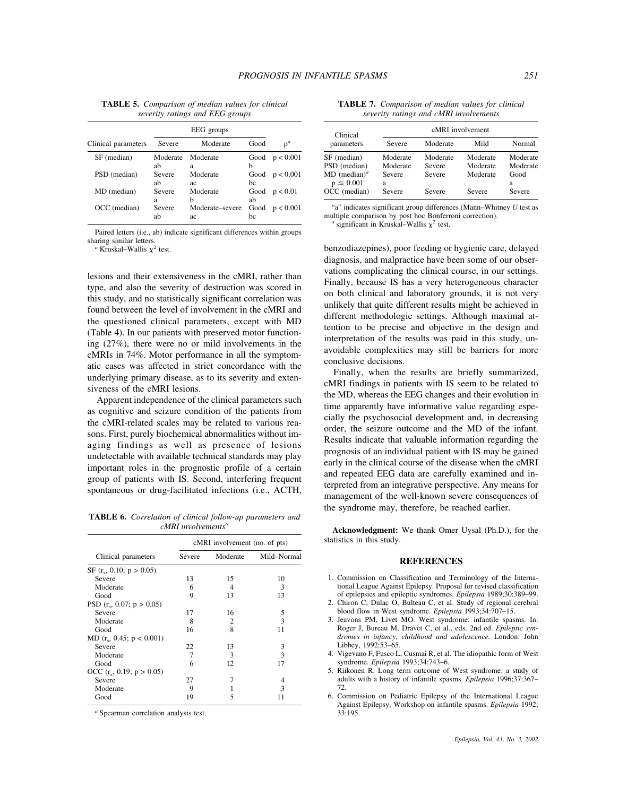**TABLE 5.** *Comparison of median values for clinical severity ratings and EEG groups*

| Clinical parameters | Severe         | Moderate              | Good       | $p^a$     |
|---------------------|----------------|-----------------------|------------|-----------|
| SF (median)         | Moderate<br>ab | Moderate              | Good<br>h  | p < 0.001 |
| PSD (median)        | Severe<br>ab   | a<br>Moderate<br>ac   | Good<br>bc | p < 0.001 |
| MD (median)         | Severe<br>a    | Moderate<br>h         | Good<br>ab | p < 0.01  |
| OCC (median)        | Severe<br>ab   | Moderate-severe<br>aс | Good<br>bc | p < 0.001 |

Paired letters (i.e., ab) indicate significant differences within groups sharing similar letters.

 $a$  Kruskal–Wallis  $\chi^2$  test.

lesions and their extensiveness in the cMRI, rather than type, and also the severity of destruction was scored in this study, and no statistically significant correlation was found between the level of involvement in the cMRI and the questioned clinical parameters, except with MD (Table 4). In our patients with preserved motor functioning (27%), there were no or mild involvements in the cMRIs in 74%. Motor performance in all the symptomatic cases was affected in strict concordance with the underlying primary disease, as to its severity and extensiveness of the cMRI lesions.

Apparent independence of the clinical parameters such as cognitive and seizure condition of the patients from the cMRI-related scales may be related to various reasons. First, purely biochemical abnormalities without imaging findings as well as presence of lesions undetectable with available technical standards may play important roles in the prognostic profile of a certain group of patients with IS. Second, interfering frequent spontaneous or drug-facilitated infections (i.e., ACTH,

**TABLE 6.** *Correlation of clinical follow-up parameters and cMRI involvementsa*

|                             | cMRI involvement (no. of pts) |          |             |  |
|-----------------------------|-------------------------------|----------|-------------|--|
| Clinical parameters         | Severe                        | Moderate | Mild-Normal |  |
| SF $(r_e, 0.10; p > 0.05)$  |                               |          |             |  |
| Severe                      | 13                            | 15       | 10          |  |
| Moderate                    | 6                             | 4        | 3           |  |
| Good                        | 9                             | 13       | 13          |  |
| PSD $(r_s, 0.07; p > 0.05)$ |                               |          |             |  |
| Severe                      | 17                            | 16       | 5           |  |
| Moderate                    | 8                             | 2        | 3           |  |
| Good                        | 16                            | 8        | 11          |  |
| MD $(r_s, 0.45; p < 0.001)$ |                               |          |             |  |
| Severe                      | 22                            | 13       | 3           |  |
| Moderate                    | 7                             | 3        | 3           |  |
| Good                        | 6                             | 12       | 17          |  |
| OCC $(r_s, 0.19; p > 0.05)$ |                               |          |             |  |
| Severe                      | 27                            |          | 4           |  |
| Moderate                    | 9                             |          | 3           |  |
| Good                        | 19                            | 5        |             |  |

*<sup>a</sup>* Spearman correlation analysis test.

**TABLE 7.** *Comparison of median values for clinical severity ratings and cMRI involvements*

| Clinical                          |             |          | cMRI involvement |           |
|-----------------------------------|-------------|----------|------------------|-----------|
| parameters                        | Severe      | Moderate | Mild             | Normal    |
| SF (median)                       | Moderate    | Moderate | Moderate         | Moderate  |
| PSD (median)                      | Moderate    | Severe   | Moderate         | Moderate  |
| $MD (median)^a$<br>$p \leq 0.001$ | Severe<br>a | Severe   | Moderate         | Good<br>a |
| OCC (median)                      | Severe      | Severe   | Severe           | Severe    |

"a" indicates significant group differences (Mann–Whitney *U* test as multiple comparison by post hoc Bonferroni correction). *a* significant in Kruskal–Wallis  $\chi^2$  test.

benzodiazepines), poor feeding or hygienic care, delayed diagnosis, and malpractice have been some of our observations complicating the clinical course, in our settings. Finally, because IS has a very heterogeneous character on both clinical and laboratory grounds, it is not very unlikely that quite different results might be achieved in different methodologic settings. Although maximal attention to be precise and objective in the design and interpretation of the results was paid in this study, unavoidable complexities may still be barriers for more conclusive decisions.

Finally, when the results are briefly summarized, cMRI findings in patients with IS seem to be related to the MD, whereas the EEG changes and their evolution in time apparently have informative value regarding especially the psychosocial development and, in decreasing order, the seizure outcome and the MD of the infant. Results indicate that valuable information regarding the prognosis of an individual patient with IS may be gained early in the clinical course of the disease when the cMRI and repeated EEG data are carefully examined and interpreted from an integrative perspective. Any means for management of the well-known severe consequences of the syndrome may, therefore, be reached earlier.

**Acknowledgment:** We thank Omer Uysal (Ph.D.), for the statistics in this study.

#### **REFERENCES**

- 1. Commission on Classification and Terminology of the International League Against Epilepsy. Proposal for revised classification of epilepsies and epileptic syndromes. *Epilepsia* 1989;30:389–99.
- 2. Chiron C, Dulac O, Bulteau C, et al. Study of regional cerebral blood flow in West syndrome. *Epilepsia* 1993;34:707–15.
- 3. Jeavons PM, Livet MO. West syndrome: infantile spasms. In: Roger J, Bureau M, Dravet C, et al., eds. 2nd ed. *Epileptic syndromes in infancy, childhood and adolescence.* London: John Libbey, 1992:53–65.
- 4. Vigevano F, Fusco L, Cusmai R, et al. The idiopathic form of West syndrome. *Epilepsia* 1993;34:743–6.
- 5. Riikonen R. Long term outcome of West syndrome: a study of adults with a history of infantile spasms. *Epilepsia* 1996;37:367– 72.
- 6. Commission on Pediatric Epilepsy of the International League Against Epilepsy. Workshop on infantile spasms. *Epilepsia* 1992; 33:195.